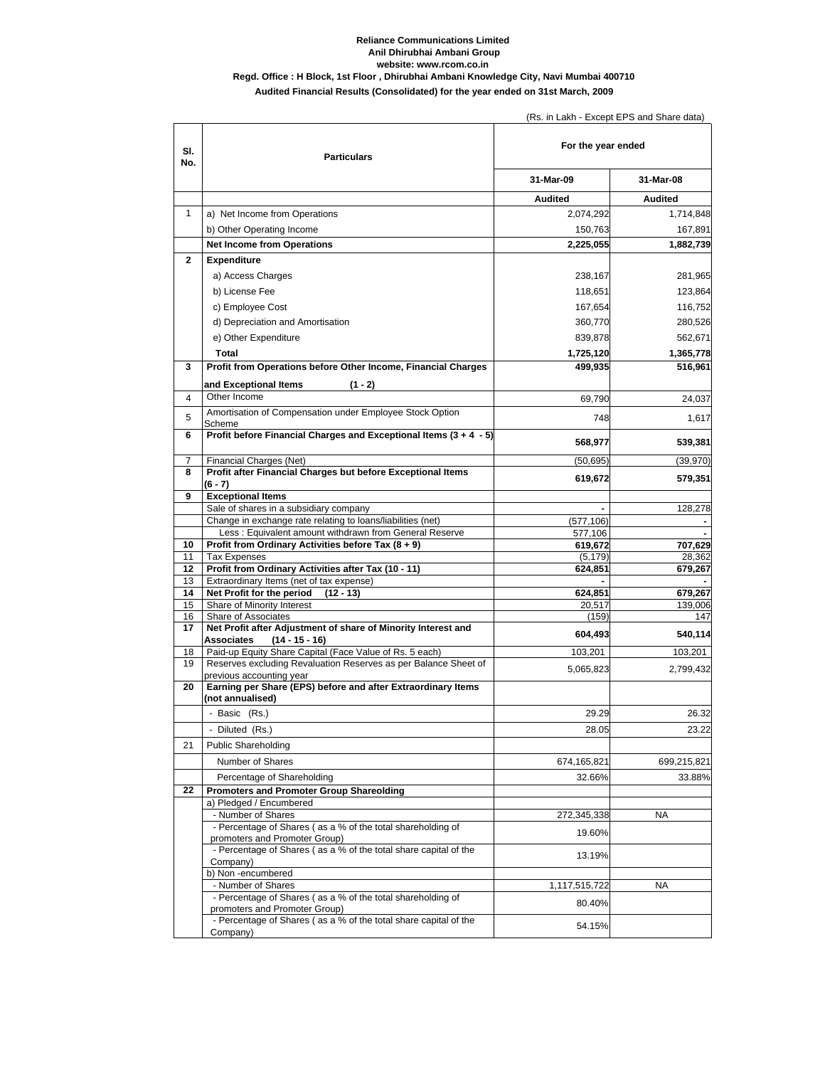## **Audited Financial Results (Consolidated) for the year ended on 31st March, 2009 Reliance Communications Limited Anil Dhirubhai Ambani Group website: www.rcom.co.in Regd. Office : H Block, 1st Floor , Dhirubhai Ambani Knowledge City, Navi Mumbai 400710**

(Rs. in Lakh - Except EPS and Share data)

| SI.<br>No.     | <b>Particulars</b>                                                                              | For the year ended |                |
|----------------|-------------------------------------------------------------------------------------------------|--------------------|----------------|
|                |                                                                                                 | 31-Mar-09          | 31-Mar-08      |
|                |                                                                                                 | <b>Audited</b>     | <b>Audited</b> |
| 1              | a) Net Income from Operations                                                                   | 2,074,292          | 1,714,848      |
|                | b) Other Operating Income                                                                       | 150,763            | 167,891        |
|                | <b>Net Income from Operations</b>                                                               | 2,225,055          | 1,882,739      |
| $\overline{2}$ | <b>Expenditure</b>                                                                              |                    |                |
|                | a) Access Charges                                                                               | 238,167            | 281,965        |
|                | b) License Fee                                                                                  | 118,651            | 123,864        |
|                | c) Employee Cost                                                                                | 167,654            | 116,752        |
|                |                                                                                                 |                    |                |
|                | d) Depreciation and Amortisation                                                                | 360,770            | 280,526        |
|                | e) Other Expenditure                                                                            | 839,878            | 562,671        |
|                | <b>Total</b>                                                                                    | 1,725,120          | 1,365,778      |
| 3              | Profit from Operations before Other Income, Financial Charges                                   | 499,935            | 516,961        |
|                | and Exceptional Items<br>$(1 - 2)$                                                              |                    |                |
| 4              | Other Income                                                                                    | 69,790             | 24,037         |
| 5              | Amortisation of Compensation under Employee Stock Option<br>Scheme                              | 748                | 1,617          |
| 6              | Profit before Financial Charges and Exceptional Items (3 + 4 - 5)                               | 568,977            | 539,381        |
| 7              | Financial Charges (Net)                                                                         | (50, 695)          | (39, 970)      |
| 8              | Profit after Financial Charges but before Exceptional Items                                     | 619,672            | 579,351        |
|                | $(6 - 7)$<br><b>Exceptional Items</b>                                                           |                    |                |
| 9              | Sale of shares in a subsidiary company                                                          |                    | 128,278        |
|                | Change in exchange rate relating to loans/liabilities (net)                                     | (577, 106)         |                |
|                | Less: Equivalent amount withdrawn from General Reserve                                          | 577,106            |                |
| 10             | Profit from Ordinary Activities before Tax (8 + 9)                                              | 619,672            | 707,629        |
| 11             | <b>Tax Expenses</b>                                                                             | (5, 179)           | 28,362         |
| 12<br>13       | Profit from Ordinary Activities after Tax (10 - 11)<br>Extraordinary Items (net of tax expense) | 624,851            | 679,267        |
| 14             | Net Profit for the period<br>$(12 - 13)$                                                        | 624,851            | 679,267        |
| 15             | Share of Minority Interest                                                                      | 20,517             | 139,006        |
| 16             | Share of Associates                                                                             | (159)              | 147            |
| 17             | Net Profit after Adjustment of share of Minority Interest and                                   | 604,493            | 540,114        |
| 18             | Associates<br>$(14 - 15 - 16)$<br>Paid-up Equity Share Capital (Face Value of Rs. 5 each)       | 103,201            | 103,201        |
| 19             | Reserves excluding Revaluation Reserves as per Balance Sheet of                                 |                    |                |
|                | previous accounting year                                                                        | 5,065,823          | 2,799,432      |
| 20             | Earning per Share (EPS) before and after Extraordinary Items<br>(not annualised)                |                    |                |
|                | - Basic (Rs.)                                                                                   | 29.29              | 26.32          |
|                | - Diluted (Rs.)                                                                                 | 28.05              | 23.22          |
| 21             | <b>Public Shareholding</b>                                                                      |                    |                |
|                | Number of Shares                                                                                | 674,165,821        | 699,215,821    |
|                | Percentage of Shareholding                                                                      | 32.66%             | 33.88%         |
| 22             | <b>Promoters and Promoter Group Shareolding</b>                                                 |                    |                |
|                | a) Pledged / Encumbered                                                                         |                    |                |
|                | - Number of Shares                                                                              | 272,345,338        | <b>NA</b>      |
|                | - Percentage of Shares (as a % of the total shareholding of<br>promoters and Promoter Group)    | 19.60%             |                |
|                | - Percentage of Shares (as a % of the total share capital of the<br>Company)                    | 13.19%             |                |
|                | b) Non-encumbered                                                                               |                    |                |
|                | - Number of Shares                                                                              | 1,117,515,722      | NA             |
|                | - Percentage of Shares (as a % of the total shareholding of<br>promoters and Promoter Group)    | 80.40%             |                |
|                | - Percentage of Shares (as a % of the total share capital of the<br>Company)                    | 54.15%             |                |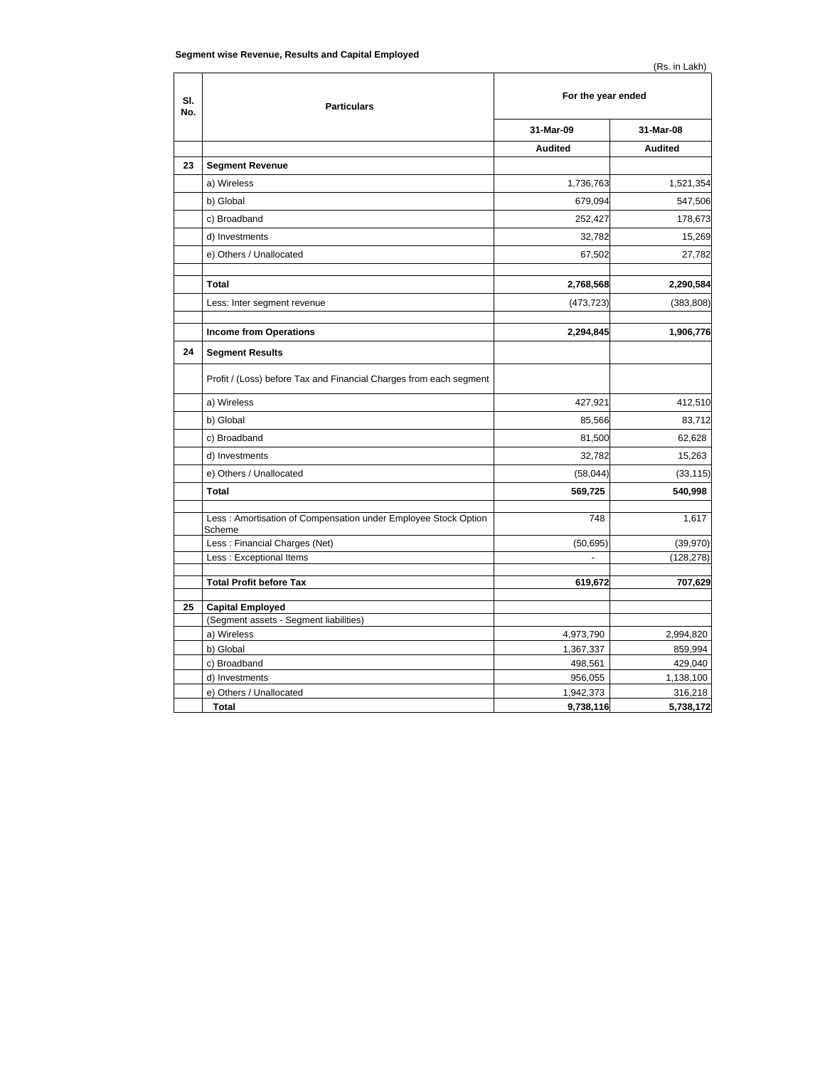| SI.<br>No. | <b>Particulars</b>                                                       | For the year ended |                |
|------------|--------------------------------------------------------------------------|--------------------|----------------|
|            |                                                                          | 31-Mar-09          | 31-Mar-08      |
|            |                                                                          | <b>Audited</b>     | <b>Audited</b> |
| 23         | <b>Segment Revenue</b>                                                   |                    |                |
|            | a) Wireless                                                              | 1,736,763          | 1,521,354      |
|            | b) Global                                                                | 679,094            | 547,506        |
|            | c) Broadband                                                             | 252,427            | 178,673        |
|            | d) Investments                                                           | 32,782             | 15,269         |
|            | e) Others / Unallocated                                                  | 67,502             | 27,782         |
|            |                                                                          |                    |                |
|            | <b>Total</b>                                                             | 2,768,568          | 2,290,584      |
|            | Less: Inter segment revenue                                              | (473, 723)         | (383, 808)     |
|            |                                                                          |                    |                |
|            | <b>Income from Operations</b>                                            | 2,294,845          | 1,906,776      |
| 24         | <b>Segment Results</b>                                                   |                    |                |
|            | Profit / (Loss) before Tax and Financial Charges from each segment       |                    |                |
|            | a) Wireless                                                              | 427,921            | 412,510        |
|            | b) Global                                                                | 85,566             | 83,712         |
|            | c) Broadband                                                             | 81,500             | 62,628         |
|            | d) Investments                                                           | 32,782             | 15,263         |
|            | e) Others / Unallocated                                                  | (58,044)           | (33, 115)      |
|            | Total                                                                    | 569,725            | 540,998        |
|            |                                                                          |                    |                |
|            | Less: Amortisation of Compensation under Employee Stock Option<br>Scheme | 748                | 1,617          |
|            | Less: Financial Charges (Net)                                            | (50, 695)          | (39, 970)      |
|            | Less: Exceptional Items                                                  |                    | (128, 278)     |
|            | <b>Total Profit before Tax</b>                                           | 619,672            | 707,629        |
|            |                                                                          |                    |                |
| 25         | <b>Capital Employed</b>                                                  |                    |                |
|            | (Segment assets - Segment liabilities)                                   |                    |                |
|            | a) Wireless                                                              | 4,973,790          | 2,994,820      |
|            | b) Global                                                                | 1,367,337          | 859,994        |
|            | c) Broadband                                                             | 498,561            | 429,040        |
|            | d) Investments                                                           | 956,055            | 1,138,100      |
|            | e) Others / Unallocated                                                  | 1,942,373          | 316,218        |
|            | <b>Total</b>                                                             | 9,738,116          | 5,738,172      |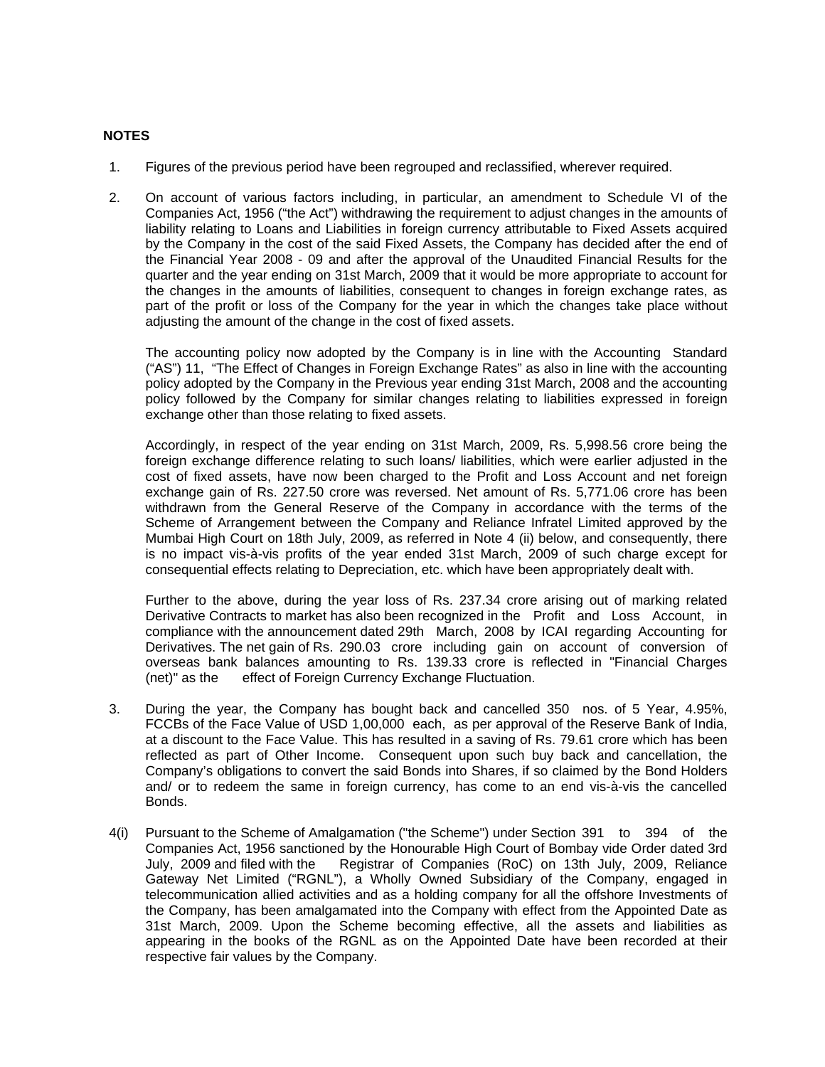## **NOTES**

- 1. Figures of the previous period have been regrouped and reclassified, wherever required.
- 2. On account of various factors including, in particular, an amendment to Schedule VI of the Companies Act, 1956 ("the Act") withdrawing the requirement to adjust changes in the amounts of liability relating to Loans and Liabilities in foreign currency attributable to Fixed Assets acquired by the Company in the cost of the said Fixed Assets, the Company has decided after the end of the Financial Year 2008 - 09 and after the approval of the Unaudited Financial Results for the quarter and the year ending on 31st March, 2009 that it would be more appropriate to account for the changes in the amounts of liabilities, consequent to changes in foreign exchange rates, as part of the profit or loss of the Company for the year in which the changes take place without adjusting the amount of the change in the cost of fixed assets.

The accounting policy now adopted by the Company is in line with the Accounting Standard ("AS") 11, "The Effect of Changes in Foreign Exchange Rates" as also in line with the accounting policy adopted by the Company in the Previous year ending 31st March, 2008 and the accounting policy followed by the Company for similar changes relating to liabilities expressed in foreign exchange other than those relating to fixed assets.

Accordingly, in respect of the year ending on 31st March, 2009, Rs. 5,998.56 crore being the foreign exchange difference relating to such loans/ liabilities, which were earlier adjusted in the cost of fixed assets, have now been charged to the Profit and Loss Account and net foreign exchange gain of Rs. 227.50 crore was reversed. Net amount of Rs. 5,771.06 crore has been withdrawn from the General Reserve of the Company in accordance with the terms of the Scheme of Arrangement between the Company and Reliance Infratel Limited approved by the Mumbai High Court on 18th July, 2009, as referred in Note 4 (ii) below, and consequently, there is no impact vis-à-vis profits of the year ended 31st March, 2009 of such charge except for consequential effects relating to Depreciation, etc. which have been appropriately dealt with.

 Further to the above, during the year loss of Rs. 237.34 crore arising out of marking related Derivative Contracts to market has also been recognized in the Profit and Loss Account, in compliance with the announcement dated 29th March, 2008 by ICAI regarding Accounting for Derivatives. The net gain of Rs. 290.03 crore including gain on account of conversion of overseas bank balances amounting to Rs. 139.33 crore is reflected in "Financial Charges (net)" as the effect of Foreign Currency Exchange Fluctuation.

- 3. During the year, the Company has bought back and cancelled 350 nos. of 5 Year, 4.95%, FCCBs of the Face Value of USD 1,00,000 each, as per approval of the Reserve Bank of India, at a discount to the Face Value. This has resulted in a saving of Rs. 79.61 crore which has been reflected as part of Other Income. Consequent upon such buy back and cancellation, the Company's obligations to convert the said Bonds into Shares, if so claimed by the Bond Holders and/ or to redeem the same in foreign currency, has come to an end vis-à-vis the cancelled Bonds.
- 4(i) Pursuant to the Scheme of Amalgamation ("the Scheme") under Section 391 to 394 of the Companies Act, 1956 sanctioned by the Honourable High Court of Bombay vide Order dated 3rd July, 2009 and filed with the Registrar of Companies (RoC) on 13th July, 2009, Reliance Gateway Net Limited ("RGNL"), a Wholly Owned Subsidiary of the Company, engaged in telecommunication allied activities and as a holding company for all the offshore Investments of the Company, has been amalgamated into the Company with effect from the Appointed Date as 31st March, 2009. Upon the Scheme becoming effective, all the assets and liabilities as appearing in the books of the RGNL as on the Appointed Date have been recorded at their respective fair values by the Company.